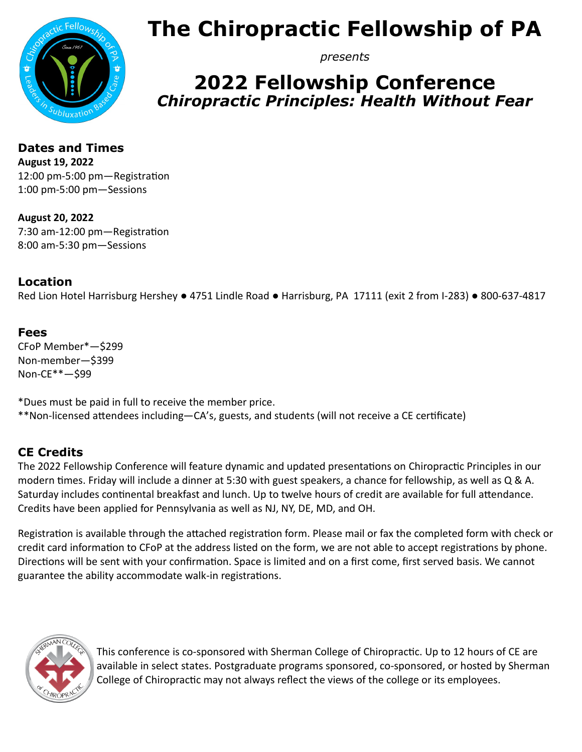

## **The Chiropractic Fellowship of PA**

*presents*

### **2022 Fellowship Conference** *Chiropractic Principles: Health Without Fear*

**Dates and Times August 19, 2022** 12:00 pm-5:00 pm—Registration 1:00 pm-5:00 pm—Sessions

**August 20, 2022** 7:30 am-12:00 pm—Registration 8:00 am-5:30 pm—Sessions

#### **Location**

Red Lion Hotel Harrisburg Hershey ● 4751 Lindle Road ● Harrisburg, PA 17111 (exit 2 from I-283) ● 800-637-4817

#### **Fees**

CFoP Member\*—\$299 Non-member—\$399 Non-CE\*\*—\$99

\*Dues must be paid in full to receive the member price. \*\*Non-licensed attendees including—CA's, guests, and students (will not receive a CE certificate)

#### **CE Credits**

The 2022 Fellowship Conference will feature dynamic and updated presentations on Chiropractic Principles in our modern times. Friday will include a dinner at 5:30 with guest speakers, a chance for fellowship, as well as Q & A. Saturday includes continental breakfast and lunch. Up to twelve hours of credit are available for full attendance. Credits have been applied for Pennsylvania as well as NJ, NY, DE, MD, and OH.

Registration is available through the attached registration form. Please mail or fax the completed form with check or credit card information to CFoP at the address listed on the form, we are not able to accept registrations by phone. Directions will be sent with your confirmation. Space is limited and on a first come, first served basis. We cannot guarantee the ability accommodate walk-in registrations.



This conference is co-sponsored with Sherman College of Chiropractic. Up to 12 hours of CE are available in select states. Postgraduate programs sponsored, co-sponsored, or hosted by Sherman College of Chiropractic may not always reflect the views of the college or its employees.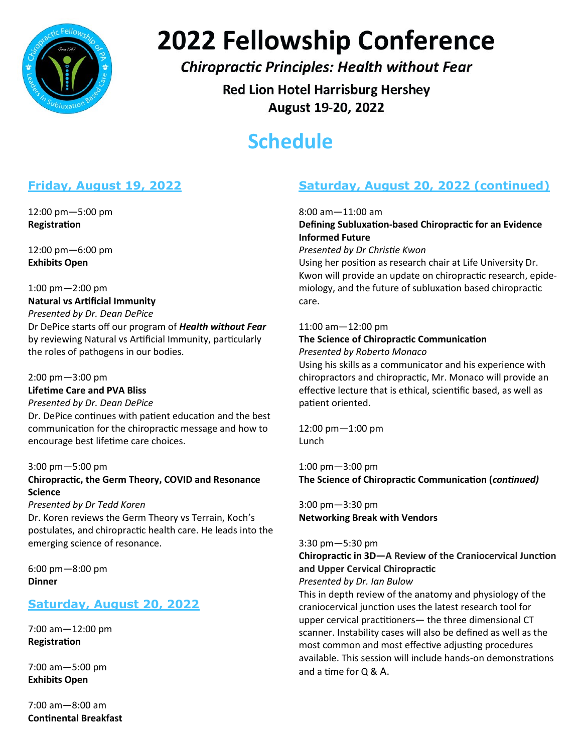

# **2022 Fellowship Conference**

#### **Chiropractic Principles: Health without Fear**

**Red Lion Hotel Harrisburg Hershey** August 19-20, 2022

### **Schedule**

#### **Friday, August 19, 2022**

12:00 pm—5:00 pm **Registration**

12:00 pm—6:00 pm **Exhibits Open**

#### 1:00 pm—2:00 pm **Natural vs Artificial Immunity** *Presented by Dr. Dean DePice* Dr DePice starts off our program of *Health without Fear*  by reviewing Natural vs Artificial Immunity, particularly the roles of pathogens in our bodies.

2:00 pm—3:00 pm **Lifetime Care and PVA Bliss**  *Presented by Dr. Dean DePice* Dr. DePice continues with patient education and the best communication for the chiropractic message and how to encourage best lifetime care choices.

#### 3:00 pm—5:00 pm

#### **Chiropractic, the Germ Theory, COVID and Resonance Science**

#### *Presented by Dr Tedd Koren*

Dr. Koren reviews the Germ Theory vs Terrain, Koch's postulates, and chiropractic health care. He leads into the emerging science of resonance.

6:00 pm—8:00 pm **Dinner**

#### **Saturday, August 20, 2022**

7:00 am—12:00 pm **Registration**

7:00 am—5:00 pm **Exhibits Open**

7:00 am—8:00 am **Continental Breakfast**

#### **Saturday, August 20, 2022 (continued)**

8:00 am—11:00 am

#### **Defining Subluxation-based Chiropractic for an Evidence Informed Future**

*Presented by Dr Christie Kwon*

Using her position as research chair at Life University Dr. Kwon will provide an update on chiropractic research, epidemiology, and the future of subluxation based chiropractic care.

#### 11:00 am—12:00 pm

#### **The Science of Chiropractic Communication** *Presented by Roberto Monaco*

Using his skills as a communicator and his experience with chiropractors and chiropractic, Mr. Monaco will provide an effective lecture that is ethical, scientific based, as well as patient oriented.

12:00 pm—1:00 pm Lunch

1:00 pm—3:00 pm **The Science of Chiropractic Communication (***continued)*

3:00 pm—3:30 pm **Networking Break with Vendors**

#### 3:30 pm—5:30 pm

**Chiropractic in 3D—A Review of the Craniocervical Junction and Upper Cervical Chiropractic**

*Presented by Dr. Ian Bulow*

This in depth review of the anatomy and physiology of the craniocervical junction uses the latest research tool for upper cervical practitioners— the three dimensional CT scanner. Instability cases will also be defined as well as the most common and most effective adjusting procedures available. This session will include hands-on demonstrations and a time for Q & A.